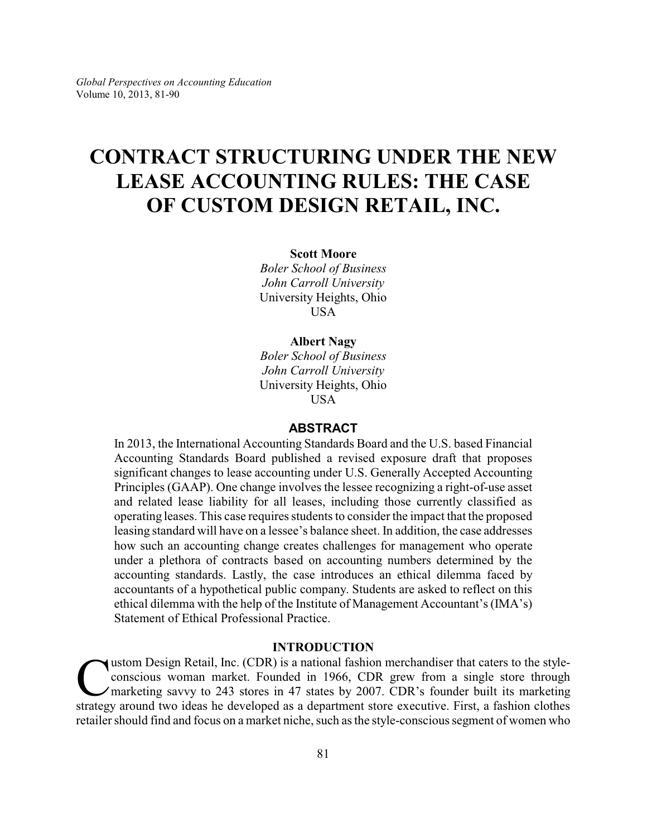## **CONTRACT STRUCTURING UNDER THE NEW LEASE ACCOUNTING RULES: THE CASE OF CUSTOM DESIGN RETAIL, INC.**

#### **Scott Moore**

*Boler School of Business John Carroll University* University Heights, Ohio USA

#### **Albert Nagy**

*Boler School of Business John Carroll University* University Heights, Ohio USA

## **ABSTRACT**

In 2013, the International Accounting Standards Board and the U.S. based Financial Accounting Standards Board published a revised exposure draft that proposes significant changes to lease accounting under U.S. Generally Accepted Accounting Principles (GAAP). One change involves the lessee recognizing a right-of-use asset and related lease liability for all leases, including those currently classified as operating leases. This case requires students to consider the impact that the proposed leasing standard will have on a lessee's balance sheet. In addition, the case addresses how such an accounting change creates challenges for management who operate under a plethora of contracts based on accounting numbers determined by the accounting standards. Lastly, the case introduces an ethical dilemma faced by accountants of a hypothetical public company. Students are asked to reflect on this ethical dilemma with the help of the Institute of Management Accountant's (IMA's) Statement of Ethical Professional Practice.

## **INTRODUCTION**

U ustom Design Retail, Inc. (CDR) is a national fashion merchandiser that caters to the style-conscious woman market. Founded in 1966, CDR grew from a single store through marketing savvy to 243 stores in 47 states by 2007 ustom Design Retail, Inc. (CDR) is a national fashion merchandiser that caters to the styleconscious woman market. Founded in 1966, CDR grew from a single store through marketing savvy to 243 stores in 47 states by 2007. CDR's founder built its marketing retailer should find and focus on a market niche, such as the style-conscious segment of women who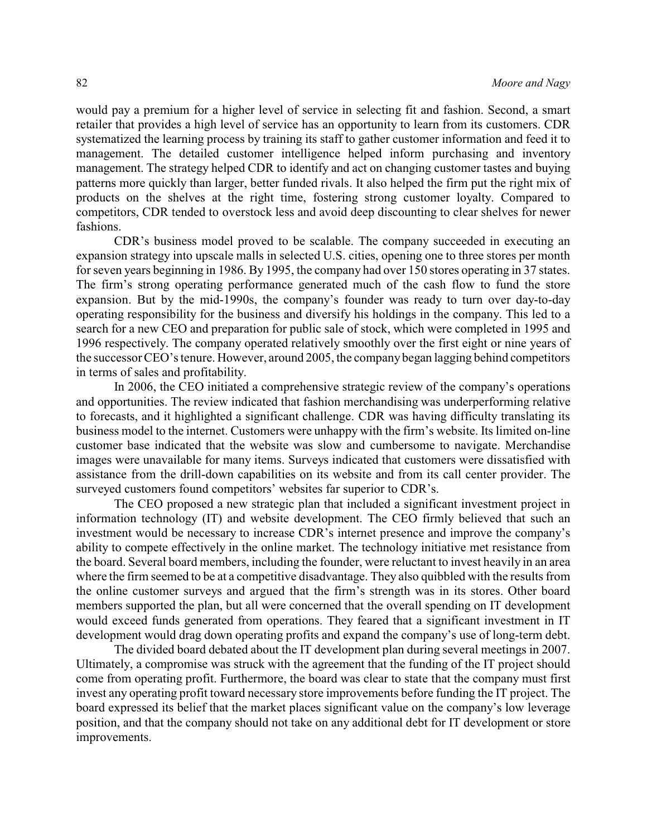would pay a premium for a higher level of service in selecting fit and fashion. Second, a smart retailer that provides a high level of service has an opportunity to learn from its customers. CDR systematized the learning process by training its staff to gather customer information and feed it to management. The detailed customer intelligence helped inform purchasing and inventory management. The strategy helped CDR to identify and act on changing customer tastes and buying patterns more quickly than larger, better funded rivals. It also helped the firm put the right mix of products on the shelves at the right time, fostering strong customer loyalty. Compared to competitors, CDR tended to overstock less and avoid deep discounting to clear shelves for newer fashions.

CDR's business model proved to be scalable. The company succeeded in executing an expansion strategy into upscale malls in selected U.S. cities, opening one to three stores per month for seven years beginning in 1986. By 1995, the company had over 150 stores operating in 37 states. The firm's strong operating performance generated much of the cash flow to fund the store expansion. But by the mid-1990s, the company's founder was ready to turn over day-to-day operating responsibility for the business and diversify his holdings in the company. This led to a search for a new CEO and preparation for public sale of stock, which were completed in 1995 and 1996 respectively. The company operated relatively smoothly over the first eight or nine years of the successor CEO's tenure. However, around 2005, the company began lagging behind competitors in terms of sales and profitability.

In 2006, the CEO initiated a comprehensive strategic review of the company's operations and opportunities. The review indicated that fashion merchandising was underperforming relative to forecasts, and it highlighted a significant challenge. CDR was having difficulty translating its business model to the internet. Customers were unhappy with the firm's website. Its limited on-line customer base indicated that the website was slow and cumbersome to navigate. Merchandise images were unavailable for many items. Surveys indicated that customers were dissatisfied with assistance from the drill-down capabilities on its website and from its call center provider. The surveyed customers found competitors' websites far superior to CDR's.

The CEO proposed a new strategic plan that included a significant investment project in information technology (IT) and website development. The CEO firmly believed that such an investment would be necessary to increase CDR's internet presence and improve the company's ability to compete effectively in the online market. The technology initiative met resistance from the board. Several board members, including the founder, were reluctant to invest heavily in an area where the firm seemed to be at a competitive disadvantage. They also quibbled with the results from the online customer surveys and argued that the firm's strength was in its stores. Other board members supported the plan, but all were concerned that the overall spending on IT development would exceed funds generated from operations. They feared that a significant investment in IT development would drag down operating profits and expand the company's use of long-term debt.

The divided board debated about the IT development plan during several meetings in 2007. Ultimately, a compromise was struck with the agreement that the funding of the IT project should come from operating profit. Furthermore, the board was clear to state that the company must first invest any operating profit toward necessary store improvements before funding the IT project. The board expressed its belief that the market places significant value on the company's low leverage position, and that the company should not take on any additional debt for IT development or store improvements.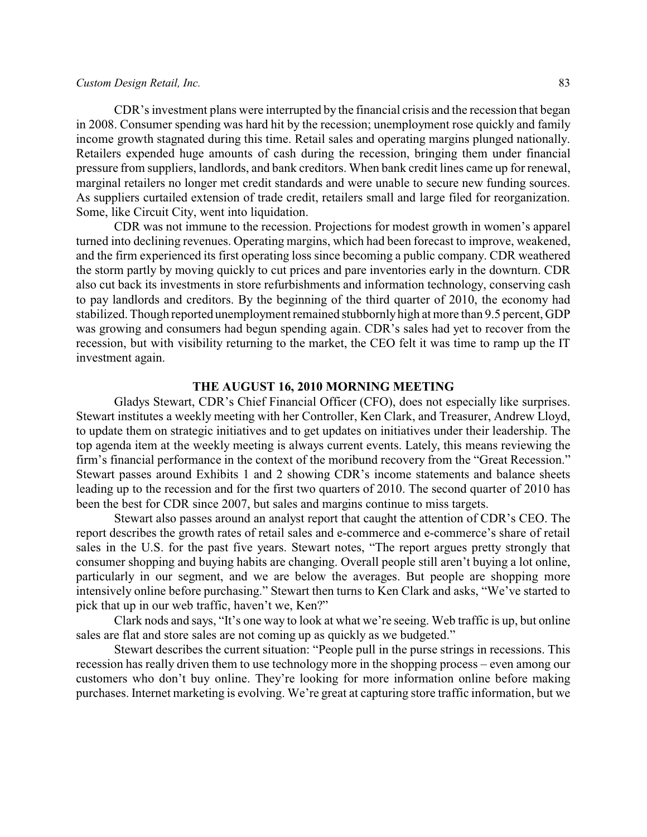#### *Custom Design Retail, Inc.* 83

CDR's investment plans were interrupted by the financial crisis and the recession that began in 2008. Consumer spending was hard hit by the recession; unemployment rose quickly and family income growth stagnated during this time. Retail sales and operating margins plunged nationally. Retailers expended huge amounts of cash during the recession, bringing them under financial pressure from suppliers, landlords, and bank creditors. When bank credit lines came up for renewal, marginal retailers no longer met credit standards and were unable to secure new funding sources. As suppliers curtailed extension of trade credit, retailers small and large filed for reorganization. Some, like Circuit City, went into liquidation.

CDR was not immune to the recession. Projections for modest growth in women's apparel turned into declining revenues. Operating margins, which had been forecast to improve, weakened, and the firm experienced its first operating loss since becoming a public company. CDR weathered the storm partly by moving quickly to cut prices and pare inventories early in the downturn. CDR also cut back its investments in store refurbishments and information technology, conserving cash to pay landlords and creditors. By the beginning of the third quarter of 2010, the economy had stabilized. Though reported unemployment remained stubbornlyhigh at more than 9.5 percent, GDP was growing and consumers had begun spending again. CDR's sales had yet to recover from the recession, but with visibility returning to the market, the CEO felt it was time to ramp up the IT investment again.

#### **THE AUGUST 16, 2010 MORNING MEETING**

Gladys Stewart, CDR's Chief Financial Officer (CFO), does not especially like surprises. Stewart institutes a weekly meeting with her Controller, Ken Clark, and Treasurer, Andrew Lloyd, to update them on strategic initiatives and to get updates on initiatives under their leadership. The top agenda item at the weekly meeting is always current events. Lately, this means reviewing the firm's financial performance in the context of the moribund recovery from the "Great Recession." Stewart passes around Exhibits 1 and 2 showing CDR's income statements and balance sheets leading up to the recession and for the first two quarters of 2010. The second quarter of 2010 has been the best for CDR since 2007, but sales and margins continue to miss targets.

Stewart also passes around an analyst report that caught the attention of CDR's CEO. The report describes the growth rates of retail sales and e-commerce and e-commerce's share of retail sales in the U.S. for the past five years. Stewart notes, "The report argues pretty strongly that consumer shopping and buying habits are changing. Overall people still aren't buying a lot online, particularly in our segment, and we are below the averages. But people are shopping more intensively online before purchasing." Stewart then turns to Ken Clark and asks, "We've started to pick that up in our web traffic, haven't we, Ken?"

Clark nods and says, "It's one way to look at what we're seeing. Web traffic is up, but online sales are flat and store sales are not coming up as quickly as we budgeted."

Stewart describes the current situation: "People pull in the purse strings in recessions. This recession has really driven them to use technology more in the shopping process – even among our customers who don't buy online. They're looking for more information online before making purchases. Internet marketing is evolving. We're great at capturing store traffic information, but we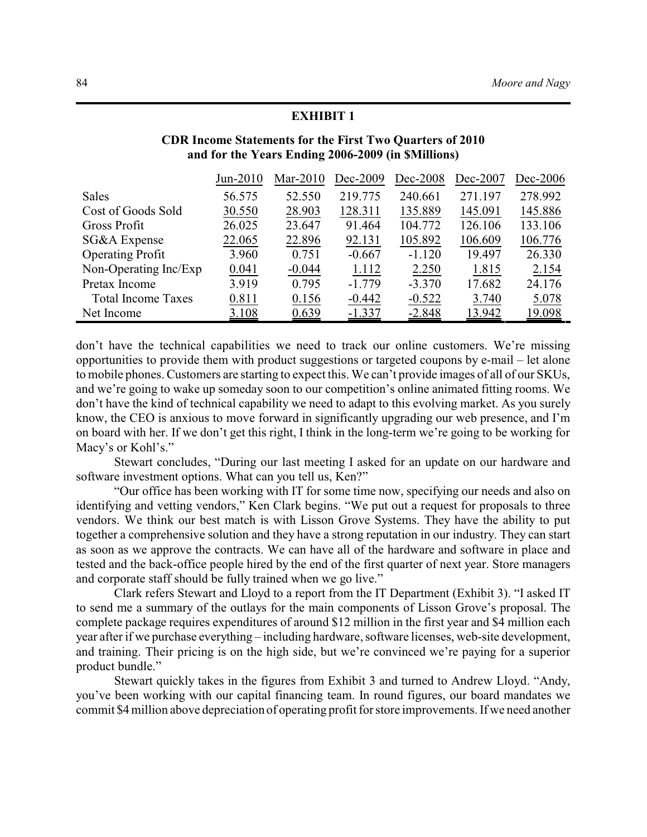| and for the Years Ending 2006-2009 (in \$Millions) |            |             |          |          |          |            |
|----------------------------------------------------|------------|-------------|----------|----------|----------|------------|
|                                                    | $Jun-2010$ | Mar- $2010$ | Dec-2009 | Dec-2008 | Dec-2007 | $Dec-2006$ |
| <b>Sales</b>                                       | 56.575     | 52.550      | 219.775  | 240.661  | 271.197  | 278.992    |
| Cost of Goods Sold                                 | 30.550     | 28.903      | 128.311  | 135.889  | 145.091  | 145.886    |
| Gross Profit                                       | 26.025     | 23.647      | 91.464   | 104.772  | 126.106  | 133.106    |
| SG&A Expense                                       | 22.065     | 22.896      | 92.131   | 105.892  | 106.609  | 106.776    |
| <b>Operating Profit</b>                            | 3.960      | 0.751       | $-0.667$ | $-1.120$ | 19.497   | 26.330     |
| Non-Operating Inc/Exp                              | 0.041      | $-0.044$    | 1.112    | 2.250    | 1.815    | 2.154      |
| Pretax Income                                      | 3.919      | 0.795       | $-1.779$ | $-3.370$ | 17.682   | 24.176     |
| <b>Total Income Taxes</b>                          | 0.811      | 0.156       | $-0.442$ | $-0.522$ | 3.740    | 5.078      |
| Net Income                                         | 3.108      | 0.639       | $-1.337$ | $-2.848$ | 13.942   | 19.098     |

# **CDR Income Statements for the First Two Quarters of 2010**

**EXHIBIT 1**

don't have the technical capabilities we need to track our online customers. We're missing opportunities to provide them with product suggestions or targeted coupons by e-mail – let alone to mobile phones. Customers are starting to expect this. We can't provide images of all of our SKUs, and we're going to wake up someday soon to our competition's online animated fitting rooms. We don't have the kind of technical capability we need to adapt to this evolving market. As you surely know, the CEO is anxious to move forward in significantly upgrading our web presence, and I'm on board with her. If we don't get this right, I think in the long-term we're going to be working for Macy's or Kohl's."

Stewart concludes, "During our last meeting I asked for an update on our hardware and software investment options. What can you tell us, Ken?"

"Our office has been working with IT for some time now, specifying our needs and also on identifying and vetting vendors," Ken Clark begins. "We put out a request for proposals to three vendors. We think our best match is with Lisson Grove Systems. They have the ability to put together a comprehensive solution and they have a strong reputation in our industry. They can start as soon as we approve the contracts. We can have all of the hardware and software in place and tested and the back-office people hired by the end of the first quarter of next year. Store managers and corporate staff should be fully trained when we go live."

Clark refers Stewart and Lloyd to a report from the IT Department (Exhibit 3). "I asked IT to send me a summary of the outlays for the main components of Lisson Grove's proposal. The complete package requires expenditures of around \$12 million in the first year and \$4 million each year after if we purchase everything – including hardware, software licenses, web-site development, and training. Their pricing is on the high side, but we're convinced we're paying for a superior product bundle."

Stewart quickly takes in the figures from Exhibit 3 and turned to Andrew Lloyd. "Andy, you've been working with our capital financing team. In round figures, our board mandates we commit \$4 million above depreciation of operating profit for store improvements. If we need another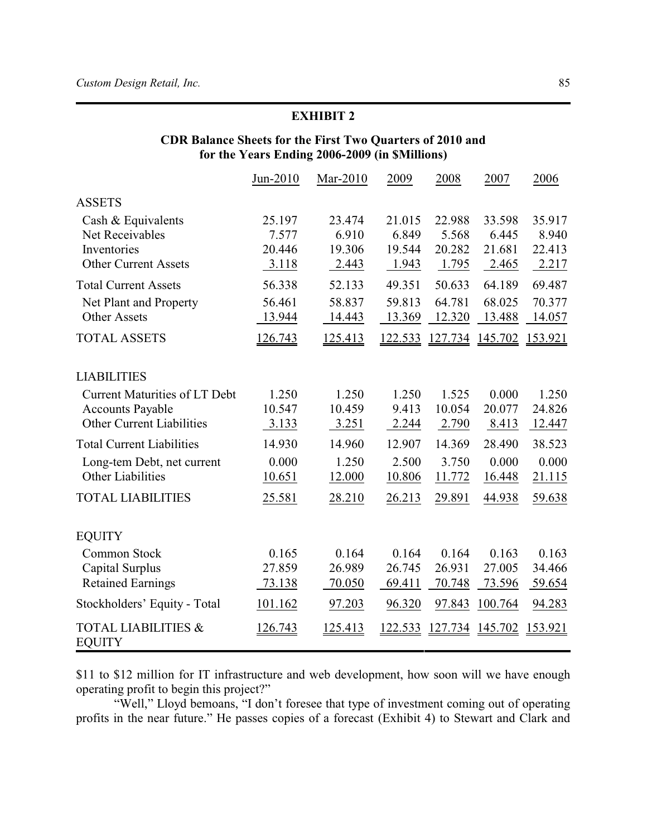## **EXHIBIT 2**

## **CDR Balance Sheets for the First Two Quarters of 2010 and for the Years Ending 2006-2009 (in \$Millions)**

|                                                 | Jun-2010       | Mar-2010       | 2009           | 2008    | 2007           | 2006    |
|-------------------------------------------------|----------------|----------------|----------------|---------|----------------|---------|
| <b>ASSETS</b>                                   |                |                |                |         |                |         |
| Cash & Equivalents                              | 25.197         | 23.474         | 21.015         | 22.988  | 33.598         | 35.917  |
| Net Receivables                                 | 7.577          | 6.910          | 6.849          | 5.568   | 6.445          | 8.940   |
| Inventories                                     | 20.446         | 19.306         | 19.544         | 20.282  | 21.681         | 22.413  |
| <b>Other Current Assets</b>                     | 3.118          | 2.443          | 1.943          | 1.795   | 2.465          | 2.217   |
| <b>Total Current Assets</b>                     | 56.338         | 52.133         | 49.351         | 50.633  | 64.189         | 69.487  |
| Net Plant and Property                          | 56.461         | 58.837         | 59.813         | 64.781  | 68.025         | 70.377  |
| <b>Other Assets</b>                             | 13.944         | 14.443         | 13.369         | 12.320  | 13.488         | 14.057  |
| <b>TOTAL ASSETS</b>                             | 126.743        | <u>125.413</u> | 122.533        | 127.734 | 145.702        | 153.921 |
| <b>LIABILITIES</b>                              |                |                |                |         |                |         |
| <b>Current Maturities of LT Debt</b>            | 1.250          | 1.250          | 1.250          | 1.525   | 0.000          | 1.250   |
| <b>Accounts Payable</b>                         | 10.547         | 10.459         | 9.413          | 10.054  | 20.077         | 24.826  |
| <b>Other Current Liabilities</b>                | 3.133          | 3.251          | 2.244          | 2.790   | 8.413          | 12.447  |
| <b>Total Current Liabilities</b>                | 14.930         | 14.960         | 12.907         | 14.369  | 28.490         | 38.523  |
| Long-tem Debt, net current                      | 0.000          | 1.250          | 2.500          | 3.750   | 0.000          | 0.000   |
| Other Liabilities                               | 10.651         | 12.000         | 10.806         | 11.772  | 16.448         | 21.115  |
| <b>TOTAL LIABILITIES</b>                        | 25.581         | 28.210         | 26.213         | 29.891  | 44.938         | 59.638  |
| <b>EQUITY</b>                                   |                |                |                |         |                |         |
| Common Stock                                    | 0.165          | 0.164          | 0.164          | 0.164   | 0.163          | 0.163   |
| Capital Surplus                                 | 27.859         | 26.989         | 26.745         | 26.931  | 27.005         | 34.466  |
| <b>Retained Earnings</b>                        | 73.138         | 70.050         | 69.411         | 70.748  | 73.596         | 59.654  |
| Stockholders' Equity - Total                    | 101.162        | 97.203         | 96.320         | 97.843  | 100.764        | 94.283  |
| <b>TOTAL LIABILITIES &amp;</b><br><b>EQUITY</b> | <u>126.743</u> | <u>125.413</u> | <u>122.533</u> | 127.734 | <u>145.702</u> | 153.921 |

\$11 to \$12 million for IT infrastructure and web development, how soon will we have enough operating profit to begin this project?"

"Well," Lloyd bemoans, "I don't foresee that type of investment coming out of operating profits in the near future." He passes copies of a forecast (Exhibit 4) to Stewart and Clark and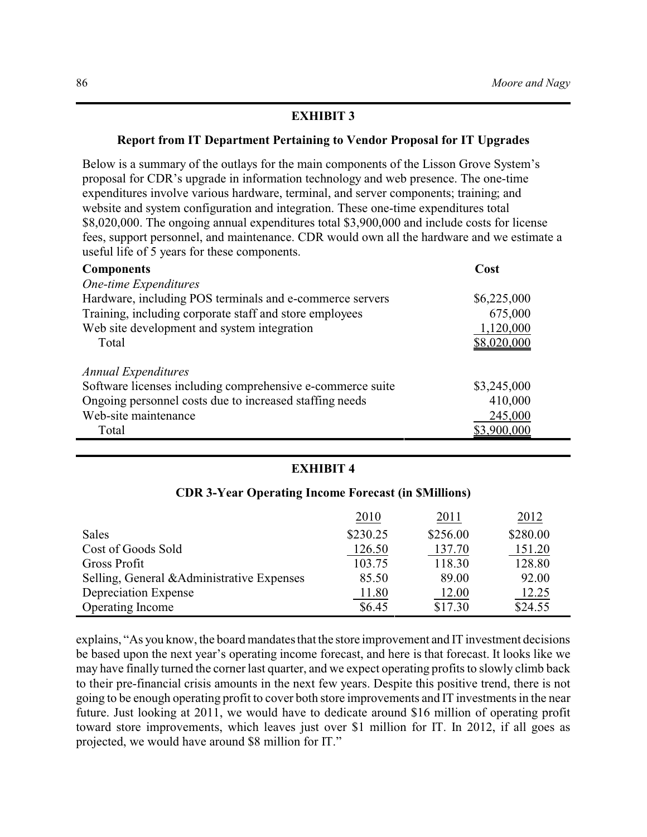## **EXHIBIT 3**

## **Report from IT Department Pertaining to Vendor Proposal for IT Upgrades**

Below is a summary of the outlays for the main components of the Lisson Grove System's proposal for CDR's upgrade in information technology and web presence. The one-time expenditures involve various hardware, terminal, and server components; training; and website and system configuration and integration. These one-time expenditures total \$8,020,000. The ongoing annual expenditures total \$3,900,000 and include costs for license fees, support personnel, and maintenance. CDR would own all the hardware and we estimate a useful life of 5 years for these components.

| <b>Components</b>                                          | Cost        |
|------------------------------------------------------------|-------------|
| One-time Expenditures                                      |             |
| Hardware, including POS terminals and e-commerce servers   | \$6,225,000 |
| Training, including corporate staff and store employees    | 675,000     |
| Web site development and system integration                | 1,120,000   |
| Total                                                      | \$8,020,000 |
| <b>Annual Expenditures</b>                                 |             |
| Software licenses including comprehensive e-commerce suite | \$3,245,000 |
| Ongoing personnel costs due to increased staffing needs    | 410,000     |
| Web-site maintenance                                       | 245,000     |
| Total                                                      | \$3,900,000 |

## **EXHIBIT 4**

#### **CDR 3-Year Operating Income Forecast (in \$Millions)**

|                                            | 2010     | 2011     | 2012     |
|--------------------------------------------|----------|----------|----------|
| Sales                                      | \$230.25 | \$256.00 | \$280.00 |
| Cost of Goods Sold                         | 126.50   | 137.70   | 151.20   |
| Gross Profit                               | 103.75   | 118.30   | 128.80   |
| Selling, General & Administrative Expenses | 85.50    | 89.00    | 92.00    |
| Depreciation Expense                       | 11.80    | 12.00    | 12.25    |
| <b>Operating Income</b>                    | \$6.45   | \$17.30  | \$24.55  |

explains, "As you know, the board mandates that the store improvement and IT investment decisions be based upon the next year's operating income forecast, and here is that forecast. It looks like we may have finally turned the corner last quarter, and we expect operating profits to slowly climb back to their pre-financial crisis amounts in the next few years. Despite this positive trend, there is not going to be enough operating profit to cover both store improvements and IT investments in the near future. Just looking at 2011, we would have to dedicate around \$16 million of operating profit toward store improvements, which leaves just over \$1 million for IT. In 2012, if all goes as projected, we would have around \$8 million for IT."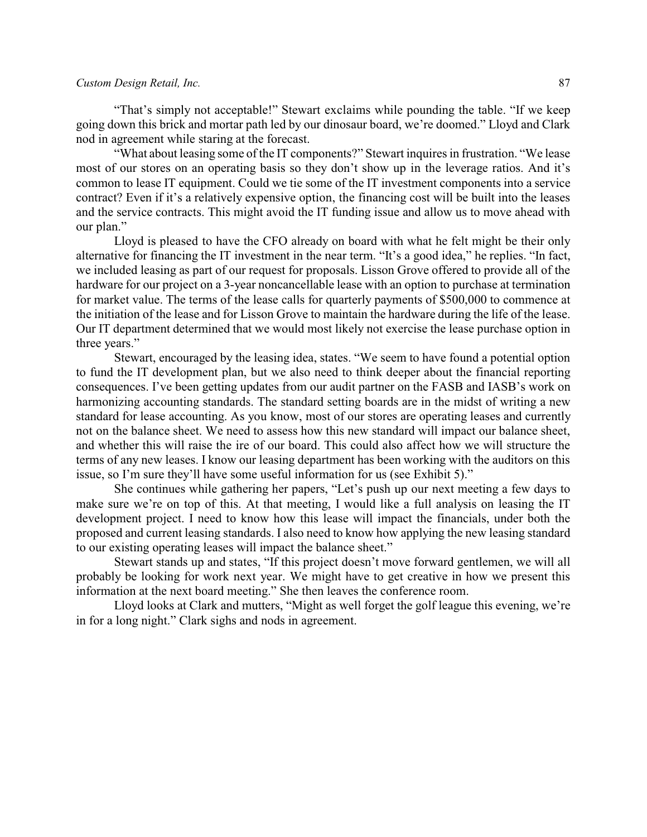#### *Custom Design Retail, Inc.* 87

"That's simply not acceptable!" Stewart exclaims while pounding the table. "If we keep going down this brick and mortar path led by our dinosaur board, we're doomed." Lloyd and Clark nod in agreement while staring at the forecast.

"What about leasing some of the IT components?" Stewart inquires in frustration. "We lease most of our stores on an operating basis so they don't show up in the leverage ratios. And it's common to lease IT equipment. Could we tie some of the IT investment components into a service contract? Even if it's a relatively expensive option, the financing cost will be built into the leases and the service contracts. This might avoid the IT funding issue and allow us to move ahead with our plan."

Lloyd is pleased to have the CFO already on board with what he felt might be their only alternative for financing the IT investment in the near term. "It's a good idea," he replies. "In fact, we included leasing as part of our request for proposals. Lisson Grove offered to provide all of the hardware for our project on a 3-year noncancellable lease with an option to purchase at termination for market value. The terms of the lease calls for quarterly payments of \$500,000 to commence at the initiation of the lease and for Lisson Grove to maintain the hardware during the life of the lease. Our IT department determined that we would most likely not exercise the lease purchase option in three years."

Stewart, encouraged by the leasing idea, states. "We seem to have found a potential option to fund the IT development plan, but we also need to think deeper about the financial reporting consequences. I've been getting updates from our audit partner on the FASB and IASB's work on harmonizing accounting standards. The standard setting boards are in the midst of writing a new standard for lease accounting. As you know, most of our stores are operating leases and currently not on the balance sheet. We need to assess how this new standard will impact our balance sheet, and whether this will raise the ire of our board. This could also affect how we will structure the terms of any new leases. I know our leasing department has been working with the auditors on this issue, so I'm sure they'll have some useful information for us (see Exhibit 5)."

She continues while gathering her papers, "Let's push up our next meeting a few days to make sure we're on top of this. At that meeting, I would like a full analysis on leasing the IT development project. I need to know how this lease will impact the financials, under both the proposed and current leasing standards. I also need to know how applying the new leasing standard to our existing operating leases will impact the balance sheet."

Stewart stands up and states, "If this project doesn't move forward gentlemen, we will all probably be looking for work next year. We might have to get creative in how we present this information at the next board meeting." She then leaves the conference room.

Lloyd looks at Clark and mutters, "Might as well forget the golf league this evening, we're in for a long night." Clark sighs and nods in agreement.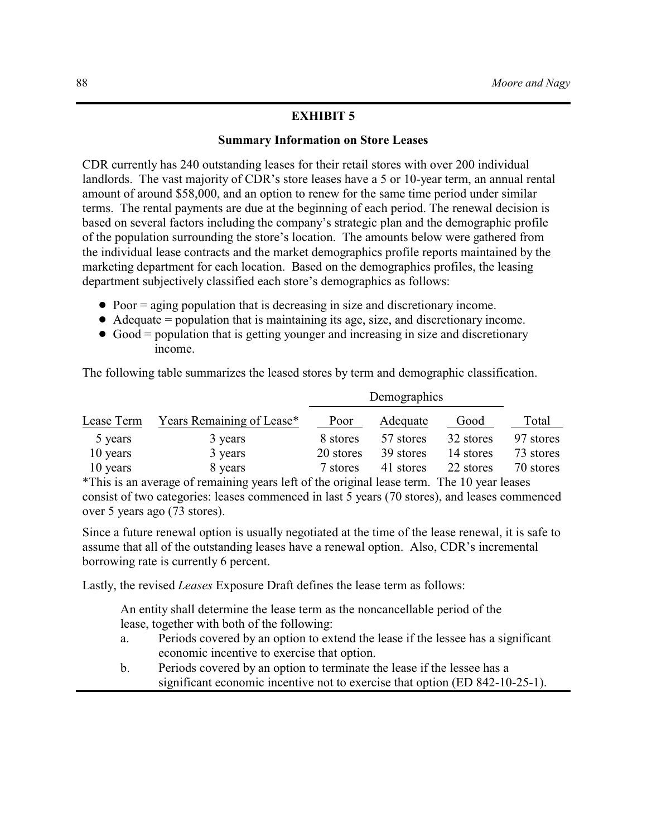## **EXHIBIT 5**

#### **Summary Information on Store Leases**

CDR currently has 240 outstanding leases for their retail stores with over 200 individual landlords. The vast majority of CDR's store leases have a 5 or 10-year term, an annual rental amount of around \$58,000, and an option to renew for the same time period under similar terms. The rental payments are due at the beginning of each period. The renewal decision is based on several factors including the company's strategic plan and the demographic profile of the population surrounding the store's location. The amounts below were gathered from the individual lease contracts and the market demographics profile reports maintained by the marketing department for each location. Based on the demographics profiles, the leasing department subjectively classified each store's demographics as follows:

- Poor = aging population that is decreasing in size and discretionary income.
- $\bullet$  Adequate = population that is maintaining its age, size, and discretionary income.
- $\bullet$  Good = population that is getting younger and increasing in size and discretionary income.

The following table summarizes the leased stores by term and demographic classification.

|            |                           | Demographics |           |           |           |
|------------|---------------------------|--------------|-----------|-----------|-----------|
| Lease Term | Years Remaining of Lease* | Poor         | Adequate  | Good      | Total     |
| 5 years    | 3 years                   | 8 stores     | 57 stores | 32 stores | 97 stores |
| 10 years   | 3 years                   | 20 stores    | 39 stores | 14 stores | 73 stores |
| 10 years   | 8 years                   | 7 stores     | 41 stores | 22 stores | 70 stores |
|            |                           |              |           |           |           |

\*This is an average of remaining years left of the original lease term. The 10 year leases consist of two categories: leases commenced in last 5 years (70 stores), and leases commenced over 5 years ago (73 stores).

Since a future renewal option is usually negotiated at the time of the lease renewal, it is safe to assume that all of the outstanding leases have a renewal option. Also, CDR's incremental borrowing rate is currently 6 percent.

Lastly, the revised *Leases* Exposure Draft defines the lease term as follows:

An entity shall determine the lease term as the noncancellable period of the lease, together with both of the following:

- a. Periods covered by an option to extend the lease if the lessee has a significant economic incentive to exercise that option.
- b. Periods covered by an option to terminate the lease if the lessee has a significant economic incentive not to exercise that option (ED 842-10-25-1).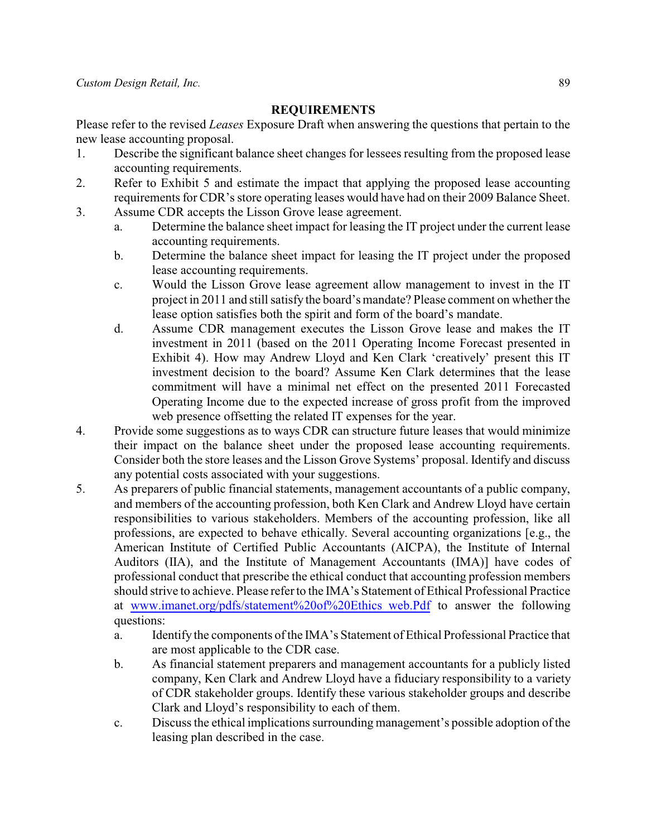## **REQUIREMENTS**

Please refer to the revised *Leases* Exposure Draft when answering the questions that pertain to the new lease accounting proposal.

- 1. Describe the significant balance sheet changes for lessees resulting from the proposed lease accounting requirements.
- 2. Refer to Exhibit 5 and estimate the impact that applying the proposed lease accounting requirements for CDR's store operating leases would have had on their 2009 Balance Sheet.
- 3. Assume CDR accepts the Lisson Grove lease agreement.
	- a. Determine the balance sheet impact for leasing the IT project under the current lease accounting requirements.
	- b. Determine the balance sheet impact for leasing the IT project under the proposed lease accounting requirements.
	- c. Would the Lisson Grove lease agreement allow management to invest in the IT project in 2011 and still satisfy the board's mandate? Please comment on whether the lease option satisfies both the spirit and form of the board's mandate.
	- d. Assume CDR management executes the Lisson Grove lease and makes the IT investment in 2011 (based on the 2011 Operating Income Forecast presented in Exhibit 4). How may Andrew Lloyd and Ken Clark 'creatively' present this IT investment decision to the board? Assume Ken Clark determines that the lease commitment will have a minimal net effect on the presented 2011 Forecasted Operating Income due to the expected increase of gross profit from the improved web presence offsetting the related IT expenses for the year.
- 4. Provide some suggestions as to ways CDR can structure future leases that would minimize their impact on the balance sheet under the proposed lease accounting requirements. Consider both the store leases and the Lisson Grove Systems' proposal. Identify and discuss any potential costs associated with your suggestions.
- 5. As preparers of public financial statements, management accountants of a public company, and members of the accounting profession, both Ken Clark and Andrew Lloyd have certain responsibilities to various stakeholders. Members of the accounting profession, like all professions, are expected to behave ethically. Several accounting organizations [e.g., the American Institute of Certified Public Accountants (AICPA), the Institute of Internal Auditors (IIA), and the Institute of Management Accountants (IMA)] have codes of professional conduct that prescribe the ethical conduct that accounting profession members should strive to achieve. Please refer to the IMA's Statement of Ethical Professional Practice at www.imanet.org/pdfs/statement%20of%20Ethics web.Pdf to answer the following questions:
	- a. Identify the components of the IMA's Statement of Ethical Professional Practice that are most applicable to the CDR case.
	- b. As financial statement preparers and management accountants for a publicly listed company, Ken Clark and Andrew Lloyd have a fiduciary responsibility to a variety of CDR stakeholder groups. Identify these various stakeholder groups and describe Clark and Lloyd's responsibility to each of them.
	- c. Discuss the ethical implications surrounding management's possible adoption of the leasing plan described in the case.